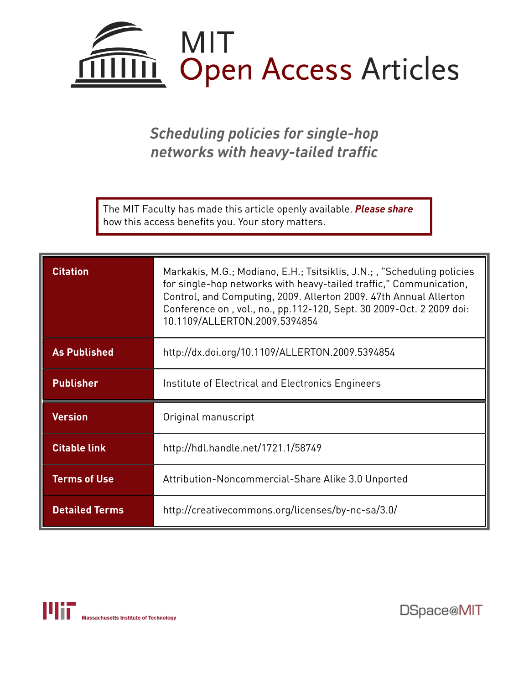

*Scheduling policies for single-hop networks with heavy-tailed traffic*

The MIT Faculty has made this article openly available. *[Please](https://libraries.mit.edu/forms/dspace-oa-articles.html) share* how this access benefits you. Your story matters.

| <b>Citation</b>       | Markakis, M.G.; Modiano, E.H.; Tsitsiklis, J.N.; , "Scheduling policies<br>for single-hop networks with heavy-tailed traffic," Communication,<br>Control, and Computing, 2009. Allerton 2009. 47th Annual Allerton<br>Conference on, vol., no., pp.112-120, Sept. 30 2009-Oct. 2 2009 doi:<br>10.1109/ALLERTON.2009.5394854 |
|-----------------------|-----------------------------------------------------------------------------------------------------------------------------------------------------------------------------------------------------------------------------------------------------------------------------------------------------------------------------|
| <b>As Published</b>   | http://dx.doi.org/10.1109/ALLERTON.2009.5394854                                                                                                                                                                                                                                                                             |
| <b>Publisher</b>      | Institute of Electrical and Electronics Engineers                                                                                                                                                                                                                                                                           |
| <b>Version</b>        | Original manuscript                                                                                                                                                                                                                                                                                                         |
| <b>Citable link</b>   | http://hdl.handle.net/1721.1/58749                                                                                                                                                                                                                                                                                          |
| <b>Terms of Use</b>   | Attribution-Noncommercial-Share Alike 3.0 Unported                                                                                                                                                                                                                                                                          |
| <b>Detailed Terms</b> | http://creativecommons.org/licenses/by-nc-sa/3.0/                                                                                                                                                                                                                                                                           |

DSpace@MIT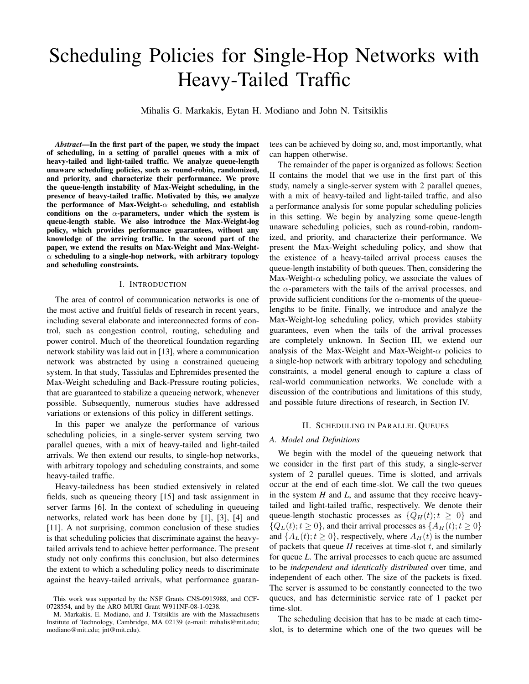# Scheduling Policies for Single-Hop Networks with Heavy-Tailed Traffic

Mihalis G. Markakis, Eytan H. Modiano and John N. Tsitsiklis

*Abstract*—In the first part of the paper, we study the impact of scheduling, in a setting of parallel queues with a mix of heavy-tailed and light-tailed traffic. We analyze queue-length unaware scheduling policies, such as round-robin, randomized, and priority, and characterize their performance. We prove the queue-length instability of Max-Weight scheduling, in the presence of heavy-tailed traffic. Motivated by this, we analyze the performance of Max-Weight- $\alpha$  scheduling, and establish conditions on the  $\alpha$ -parameters, under which the system is queue-length stable. We also introduce the Max-Weight-log policy, which provides performance guarantees, without any knowledge of the arriving traffic. In the second part of the paper, we extend the results on Max-Weight and Max-Weight- $\alpha$  scheduling to a single-hop network, with arbitrary topology and scheduling constraints.

#### I. INTRODUCTION

The area of control of communication networks is one of the most active and fruitful fields of research in recent years, including several elaborate and interconnected forms of control, such as congestion control, routing, scheduling and power control. Much of the theoretical foundation regarding network stability was laid out in [13], where a communication network was abstracted by using a constrained queueing system. In that study, Tassiulas and Ephremides presented the Max-Weight scheduling and Back-Pressure routing policies, that are guaranteed to stabilize a queueing network, whenever possible. Subsequently, numerous studies have addressed variations or extensions of this policy in different settings.

In this paper we analyze the performance of various scheduling policies, in a single-server system serving two parallel queues, with a mix of heavy-tailed and light-tailed arrivals. We then extend our results, to single-hop networks, with arbitrary topology and scheduling constraints, and some heavy-tailed traffic.

Heavy-tailedness has been studied extensively in related fields, such as queueing theory [15] and task assignment in server farms [6]. In the context of scheduling in queueing networks, related work has been done by [1], [3], [4] and [11]. A not surprising, common conclusion of these studies is that scheduling policies that discriminate against the heavytailed arrivals tend to achieve better performance. The present study not only confirms this conclusion, but also determines the extent to which a scheduling policy needs to discriminate against the heavy-tailed arrivals, what performance guarantees can be achieved by doing so, and, most importantly, what can happen otherwise.

The remainder of the paper is organized as follows: Section II contains the model that we use in the first part of this study, namely a single-server system with 2 parallel queues, with a mix of heavy-tailed and light-tailed traffic, and also a performance analysis for some popular scheduling policies in this setting. We begin by analyzing some queue-length unaware scheduling policies, such as round-robin, randomized, and priority, and characterize their performance. We present the Max-Weight scheduling policy, and show that the existence of a heavy-tailed arrival process causes the queue-length instability of both queues. Then, considering the Max-Weight- $\alpha$  scheduling policy, we associate the values of the  $\alpha$ -parameters with the tails of the arrival processes, and provide sufficient conditions for the  $\alpha$ -moments of the queuelengths to be finite. Finally, we introduce and analyze the Max-Weight-log scheduling policy, which provides stabiity guarantees, even when the tails of the arrival processes are completely unknown. In Section III, we extend our analysis of the Max-Weight and Max-Weight- $\alpha$  policies to a single-hop network with arbitrary topology and scheduling constraints, a model general enough to capture a class of real-world communication networks. We conclude with a discussion of the contributions and limitations of this study, and possible future directions of research, in Section IV.

#### II. SCHEDULING IN PARALLEL QUEUES

### *A. Model and Definitions*

We begin with the model of the queueing network that we consider in the first part of this study, a single-server system of 2 parallel queues. Time is slotted, and arrivals occur at the end of each time-slot. We call the two queues in the system *H* and *L*, and assume that they receive heavytailed and light-tailed traffic, respectively. We denote their queue-length stochastic processes as  $\{Q_H(t); t \geq 0\}$  and  $\{Q_L(t); t \geq 0\}$ , and their arrival processes as  $\{A_H(t); t \geq 0\}$ and  $\{A_L(t); t \geq 0\}$ , respectively, where  $A_H(t)$  is the number of packets that queue  $H$  receives at time-slot  $t$ , and similarly for queue *L*. The arrival processes to each queue are assumed to be *independent and identically distributed* over time, and independent of each other. The size of the packets is fixed. The server is assumed to be constantly connected to the two queues, and has deterministic service rate of 1 packet per time-slot.

The scheduling decision that has to be made at each timeslot, is to determine which one of the two queues will be

This work was supported by the NSF Grants CNS-0915988, and CCF-0728554, and by the ARO MURI Grant W911NF-08-1-0238.

M. Markakis, E. Modiano, and J. Tsitsiklis are with the Massachusetts Institute of Technology, Cambridge, MA 02139 (e-mail: mihalis@mit.edu; modiano@mit.edu; jnt@mit.edu).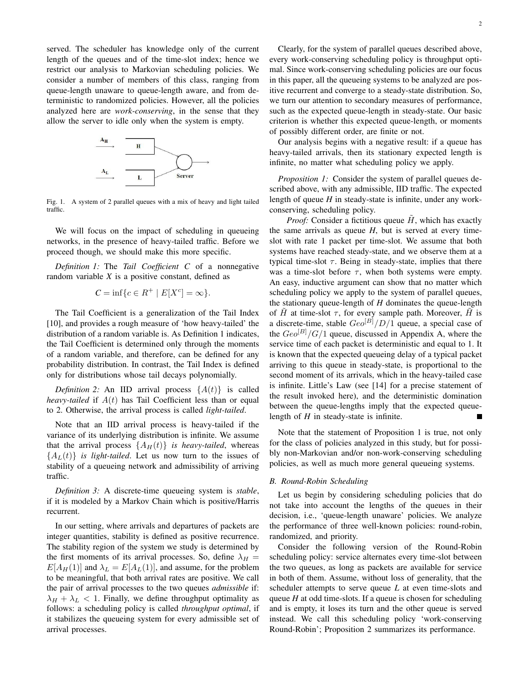served. The scheduler has knowledge only of the current length of the queues and of the time-slot index; hence we restrict our analysis to Markovian scheduling policies. We consider a number of members of this class, ranging from queue-length unaware to queue-length aware, and from deterministic to randomized policies. However, all the policies analyzed here are *work-conserving*, in the sense that they allow the server to idle only when the system is empty.



Fig. 1. A system of 2 parallel queues with a mix of heavy and light tailed traffic.

We will focus on the impact of scheduling in queueing networks, in the presence of heavy-tailed traffic. Before we proceed though, we should make this more specific.

*Definition 1:* The *Tail Coefficient C* of a nonnegative random variable *X* is a positive constant, defined as

$$
C = \inf \{ c \in R^+ \mid E[X^c] = \infty \}.
$$

The Tail Coefficient is a generalization of the Tail Index [10], and provides a rough measure of 'how heavy-tailed' the distribution of a random variable is. As Definition 1 indicates, the Tail Coefficient is determined only through the moments of a random variable, and therefore, can be defined for any probability distribution. In contrast, the Tail Index is defined only for distributions whose tail decays polynomially.

*Definition 2:* An IID arrival process  $\{A(t)\}\$ is called *heavy-tailed* if  $A(t)$  has Tail Coefficient less than or equal to 2. Otherwise, the arrival process is called *light-tailed*.

Note that an IID arrival process is heavy-tailed if the variance of its underlying distribution is infinite. We assume that the arrival process  $\{A_H(t)\}\$ is heavy-tailed, whereas  ${A_L(t)}$  *is light-tailed.* Let us now turn to the issues of stability of a queueing network and admissibility of arriving traffic.

*Definition 3:* A discrete-time queueing system is *stable*, if it is modeled by a Markov Chain which is positive/Harris recurrent.

In our setting, where arrivals and departures of packets are integer quantities, stability is defined as positive recurrence. The stability region of the system we study is determined by the first moments of its arrival processes. So, define  $\lambda_H$  =  $E[A_H(1)]$  and  $\lambda_L = E[A_L(1)]$ , and assume, for the problem to be meaningful, that both arrival rates are positive. We call the pair of arrival processes to the two queues *admissible* if:  $\lambda_H + \lambda_L < 1$ . Finally, we define throughput optimality as follows: a scheduling policy is called *throughput optimal*, if it stabilizes the queueing system for every admissible set of arrival processes.

Clearly, for the system of parallel queues described above, every work-conserving scheduling policy is throughput optimal. Since work-conserving scheduling policies are our focus in this paper, all the queueing systems to be analyzed are positive recurrent and converge to a steady-state distribution. So, we turn our attention to secondary measures of performance, such as the expected queue-length in steady-state. Our basic criterion is whether this expected queue-length, or moments of possibly different order, are finite or not.

Our analysis begins with a negative result: if a queue has heavy-tailed arrivals, then its stationary expected length is infinite, no matter what scheduling policy we apply.

*Proposition 1:* Consider the system of parallel queues described above, with any admissible, IID traffic. The expected length of queue *H* in steady-state is infinite, under any workconserving, scheduling policy.

*Proof:* Consider a fictitious queue  $H$ , which has exactly the same arrivals as queue *H*, but is served at every timeslot with rate 1 packet per time-slot. We assume that both systems have reached steady-state, and we observe them at a typical time-slot  $\tau$ . Being in steady-state, implies that there was a time-slot before  $\tau$ , when both systems were empty. An easy, inductive argument can show that no matter which scheduling policy we apply to the system of parallel queues, the stationary queue-length of *H* dominates the queue-length of  $\tilde{H}$  at time-slot  $\tau$ , for every sample path. Moreover,  $\tilde{H}$  is a discrete-time, stable  $Geo^{[B]}/D/1$  queue, a special case of the  $Geo^{[B]}/G/1$  queue, discussed in Appendix A, where the service time of each packet is deterministic and equal to 1. It is known that the expected queueing delay of a typical packet arriving to this queue in steady-state, is proportional to the second moment of its arrivals, which in the heavy-tailed case is infinite. Little's Law (see [14] for a precise statement of the result invoked here), and the deterministic domination between the queue-lengths imply that the expected queuelength of *H* in steady-state is infinite.

Note that the statement of Proposition 1 is true, not only for the class of policies analyzed in this study, but for possibly non-Markovian and/or non-work-conserving scheduling policies, as well as much more general queueing systems.

#### *B. Round-Robin Scheduling*

Let us begin by considering scheduling policies that do not take into account the lengths of the queues in their decision, i.e., 'queue-length unaware' policies. We analyze the performance of three well-known policies: round-robin, randomized, and priority.

Consider the following version of the Round-Robin scheduling policy: service alternates every time-slot between the two queues, as long as packets are available for service in both of them. Assume, without loss of generality, that the scheduler attempts to serve queue *L* at even time-slots and queue *H* at odd time-slots. If a queue is chosen for scheduling and is empty, it loses its turn and the other queue is served instead. We call this scheduling policy 'work-conserving Round-Robin'; Proposition 2 summarizes its performance.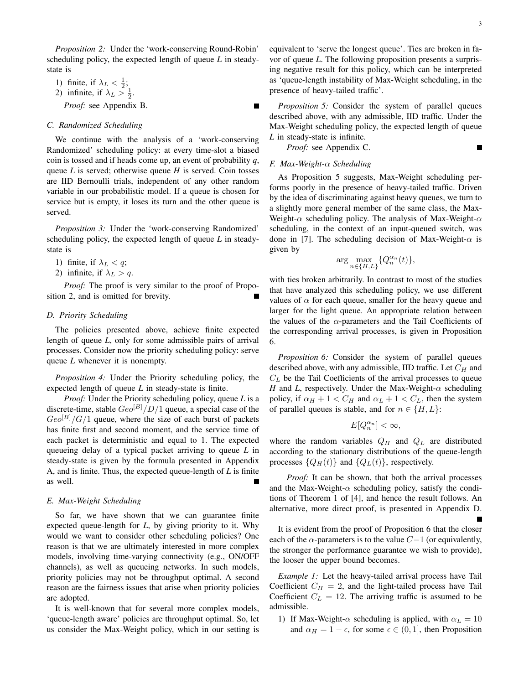*Proposition 2:* Under the 'work-conserving Round-Robin' scheduling policy, the expected length of queue *L* in steadystate is

- 1) finite, if  $\lambda_L < \frac{1}{2}$ ; 2) infinite, if  $\lambda_L > \frac{1}{2}$ .
- *Proof:* see Appendix B.

#### *C. Randomized Scheduling*

We continue with the analysis of a 'work-conserving Randomized' scheduling policy: at every time-slot a biased coin is tossed and if heads come up, an event of probability *q*, queue *L* is served; otherwise queue *H* is served. Coin tosses are IID Bernoulli trials, independent of any other random variable in our probabilistic model. If a queue is chosen for service but is empty, it loses its turn and the other queue is served.

*Proposition 3:* Under the 'work-conserving Randomized' scheduling policy, the expected length of queue *L* in steadystate is

- 1) finite, if  $\lambda_L < q$ ;
- 2) infinite, if  $\lambda_L > q$ .

*Proof:* The proof is very similar to the proof of Proposition 2, and is omitted for brevity.

# *D. Priority Scheduling*

The policies presented above, achieve finite expected length of queue *L*, only for some admissible pairs of arrival processes. Consider now the priority scheduling policy: serve queue *L* whenever it is nonempty.

*Proposition 4:* Under the Priority scheduling policy, the expected length of queue *L* in steady-state is finite.

*Proof:* Under the Priority scheduling policy, queue *L* is a discrete-time, stable  $Geo^{[B]}/D/1$  queue, a special case of the  $Geo^{[B]}/G/1$  queue, where the size of each burst of packets has finite first and second moment, and the service time of each packet is deterministic and equal to 1. The expected queueing delay of a typical packet arriving to queue *L* in steady-state is given by the formula presented in Appendix A, and is finite. Thus, the expected queue-length of *L* is finite as well.

#### *E. Max-Weight Scheduling*

So far, we have shown that we can guarantee finite expected queue-length for *L*, by giving priority to it. Why would we want to consider other scheduling policies? One reason is that we are ultimately interested in more complex models, involving time-varying connectivity (e.g., ON/OFF channels), as well as queueing networks. In such models, priority policies may not be throughput optimal. A second reason are the fairness issues that arise when priority policies are adopted.

It is well-known that for several more complex models, 'queue-length aware' policies are throughput optimal. So, let us consider the Max-Weight policy, which in our setting is equivalent to 'serve the longest queue'. Ties are broken in favor of queue *L*. The following proposition presents a surprising negative result for this policy, which can be interpreted as 'queue-length instability of Max-Weight scheduling, in the presence of heavy-tailed traffic'.

*Proposition 5:* Consider the system of parallel queues described above, with any admissible, IID traffic. Under the Max-Weight scheduling policy, the expected length of queue *L* in steady-state is infinite.

*Proof:* see Appendix C.

#### *F. Max-Weight-*α *Scheduling*

As Proposition 5 suggests, Max-Weight scheduling performs poorly in the presence of heavy-tailed traffic. Driven by the idea of discriminating against heavy queues, we turn to a slightly more general member of the same class, the Max-Weight- $\alpha$  scheduling policy. The analysis of Max-Weight- $\alpha$ scheduling, in the context of an input-queued switch, was done in [7]. The scheduling decision of Max-Weight- $\alpha$  is given by

$$
\arg\max_{n\in\{H,L\}}\{Q_n^{\alpha_n}(t)\},\
$$

with ties broken arbitrarily. In contrast to most of the studies that have analyzed this scheduling policy, we use different values of  $\alpha$  for each queue, smaller for the heavy queue and larger for the light queue. An appropriate relation between the values of the  $\alpha$ -parameters and the Tail Coefficients of the corresponding arrival processes, is given in Proposition 6.

*Proposition 6:* Consider the system of parallel queues described above, with any admissible, IID traffic. Let  $C_H$  and  $C<sub>L</sub>$  be the Tail Coefficients of the arrival processes to queue *H* and *L*, respectively. Under the Max-Weight- $\alpha$  scheduling policy, if  $\alpha_H + 1 < C_H$  and  $\alpha_L + 1 < C_L$ , then the system of parallel queues is stable, and for  $n \in \{H, L\}$ :

$$
E[Q_n^{\alpha_n}] < \infty,
$$

where the random variables  $Q_H$  and  $Q_L$  are distributed according to the stationary distributions of the queue-length processes  $\{Q_H(t)\}\$ and  $\{Q_L(t)\}\$ , respectively.

*Proof:* It can be shown, that both the arrival processes and the Max-Weight- $\alpha$  scheduling policy, satisfy the conditions of Theorem 1 of [4], and hence the result follows. An alternative, more direct proof, is presented in Appendix D.

It is evident from the proof of Proposition 6 that the closer each of the  $\alpha$ -parameters is to the value  $C-1$  (or equivalently, the stronger the performance guarantee we wish to provide), the looser the upper bound becomes.

*Example 1:* Let the heavy-tailed arrival process have Tail Coefficient  $C_H = 2$ , and the light-tailed process have Tail Coefficient  $C_L = 12$ . The arriving traffic is assumed to be admissible.

1) If Max-Weight- $\alpha$  scheduling is applied, with  $\alpha_L = 10$ and  $\alpha_H = 1 - \epsilon$ , for some  $\epsilon \in (0, 1]$ , then Proposition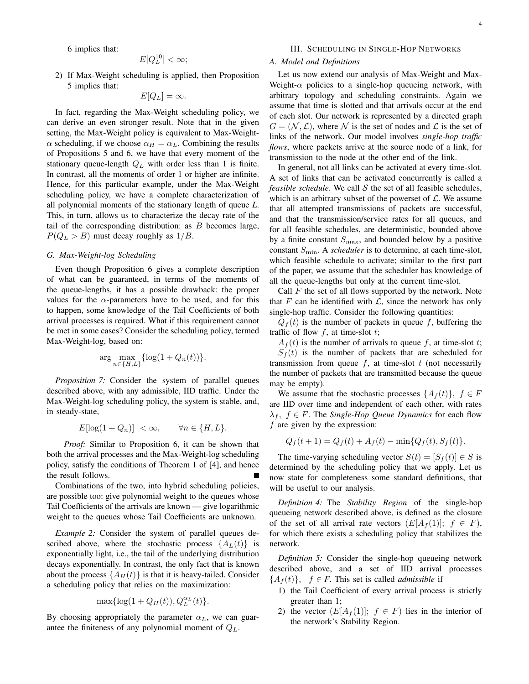6 implies that:

$$
E[Q_L^{10}] < \infty;
$$

2) If Max-Weight scheduling is applied, then Proposition 5 implies that:

$$
E[Q_L] = \infty.
$$

In fact, regarding the Max-Weight scheduling policy, we can derive an even stronger result. Note that in the given setting, the Max-Weight policy is equivalent to Max-Weight- $\alpha$  scheduling, if we choose  $\alpha_H = \alpha_L$ . Combining the results of Propositions 5 and 6, we have that every moment of the stationary queue-length  $Q_L$  with order less than 1 is finite. In contrast, all the moments of order 1 or higher are infinite. Hence, for this particular example, under the Max-Weight scheduling policy, we have a complete characterization of all polynomial moments of the stationary length of queue *L*. This, in turn, allows us to characterize the decay rate of the tail of the corresponding distribution: as  $B$  becomes large,  $P(Q_L > B)$  must decay roughly as  $1/B$ .

#### *G. Max-Weight-log Scheduling*

Even though Proposition 6 gives a complete description of what can be guaranteed, in terms of the moments of the queue-lengths, it has a possible drawback: the proper values for the  $\alpha$ -parameters have to be used, and for this to happen, some knowledge of the Tail Coefficients of both arrival processes is required. What if this requirement cannot be met in some cases? Consider the scheduling policy, termed Max-Weight-log, based on:

$$
\arg\max_{n\in\{H,L\}}\{\log(1+Q_n(t))\}.
$$

*Proposition 7:* Consider the system of parallel queues described above, with any admissible, IID traffic. Under the Max-Weight-log scheduling policy, the system is stable, and, in steady-state,

$$
E[\log(1+Q_n)] < \infty, \qquad \forall n \in \{H, L\}.
$$

*Proof:* Similar to Proposition 6, it can be shown that both the arrival processes and the Max-Weight-log scheduling policy, satisfy the conditions of Theorem 1 of [4], and hence the result follows.

Combinations of the two, into hybrid scheduling policies, are possible too: give polynomial weight to the queues whose Tail Coefficients of the arrivals are known — give logarithmic weight to the queues whose Tail Coefficients are unknown.

*Example 2:* Consider the system of parallel queues described above, where the stochastic process  $\{A_L(t)\}\$ is exponentially light, i.e., the tail of the underlying distribution decays exponentially. In contrast, the only fact that is known about the process  $\{A_H(t)\}\$ is that it is heavy-tailed. Consider a scheduling policy that relies on the maximization:

$$
\max\{\log(1+Q_H(t)), Q_L^{\alpha_L}(t)\}.
$$

By choosing appropriately the parameter  $\alpha_L$ , we can guarantee the finiteness of any polynomial moment of  $Q_L$ .

#### III. SCHEDULING IN SINGLE-HOP NETWORKS

# *A. Model and Definitions*

Let us now extend our analysis of Max-Weight and Max-Weight- $\alpha$  policies to a single-hop queueing network, with arbitrary topology and scheduling constraints. Again we assume that time is slotted and that arrivals occur at the end of each slot. Our network is represented by a directed graph  $G = (\mathcal{N}, \mathcal{L})$ , where N is the set of nodes and L is the set of links of the network. Our model involves *single-hop traffic flows*, where packets arrive at the source node of a link, for transmission to the node at the other end of the link.

In general, not all links can be activated at every time-slot. A set of links that can be activated concurrently is called a *feasible schedule*. We call  $S$  the set of all feasible schedules, which is an arbitrary subset of the powerset of  $\mathcal{L}$ . We assume that all attempted transmissions of packets are successful, and that the transmission/service rates for all queues, and for all feasible schedules, are deterministic, bounded above by a finite constant  $S_{\text{max}}$ , and bounded below by a positive constant  $S_{\text{min}}$ . A *scheduler* is to determine, at each time-slot, which feasible schedule to activate; similar to the first part of the paper, we assume that the scheduler has knowledge of all the queue-lengths but only at the current time-slot.

Call  $F$  the set of all flows supported by the network. Note that F can be identified with  $\mathcal{L}$ , since the network has only single-hop traffic. Consider the following quantities:

 $Q_f(t)$  is the number of packets in queue f, buffering the traffic of flow  $f$ , at time-slot  $t$ ;

 $A_f(t)$  is the number of arrivals to queue f, at time-slot t;

 $S_f(t)$  is the number of packets that are scheduled for transmission from queue  $f$ , at time-slot  $t$  (not necessarily the number of packets that are transmitted because the queue may be empty).

We assume that the stochastic processes  $\{A_f(t)\}, f \in F$ are IID over time and independent of each other, with rates  $\lambda_f$ ,  $f \in F$ . The *Single-Hop Queue Dynamics* for each flow  $f$  are given by the expression:

$$
Q_f(t+1) = Q_f(t) + A_f(t) - \min\{Q_f(t), S_f(t)\}.
$$

The time-varying scheduling vector  $S(t) = [S_f(t)] \in S$  is determined by the scheduling policy that we apply. Let us now state for completeness some standard definitions, that will be useful to our analysis.

*Definition 4:* The *Stability Region* of the single-hop queueing network described above, is defined as the closure of the set of all arrival rate vectors  $(E[A_f(1)]; f \in F)$ , for which there exists a scheduling policy that stabilizes the network.

*Definition 5:* Consider the single-hop queueing network described above, and a set of IID arrival processes  ${A_f(t)}$ ,  $f \in F$ . This set is called *admissible* if

- 1) the Tail Coefficient of every arrival process is strictly greater than 1;
- 2) the vector  $(E[A_f(1)]; f \in F)$  lies in the interior of the network's Stability Region.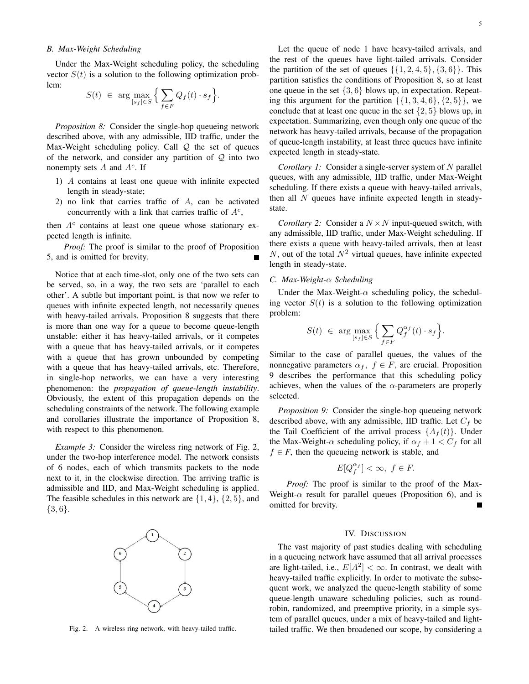#### *B. Max-Weight Scheduling*

Under the Max-Weight scheduling policy, the scheduling vector  $S(t)$  is a solution to the following optimization problem:

$$
S(t) \in \arg \max_{[s_f] \in S} \Big\{ \sum_{f \in F} Q_f(t) \cdot s_f \Big\}.
$$

*Proposition 8:* Consider the single-hop queueing network described above, with any admissible, IID traffic, under the Max-Weight scheduling policy. Call  $Q$  the set of queues of the network, and consider any partition of  $Q$  into two nonempty sets  $A$  and  $A<sup>c</sup>$ . If

- 1) A contains at least one queue with infinite expected length in steady-state;
- 2) no link that carries traffic of A, can be activated concurrently with a link that carries traffic of  $A<sup>c</sup>$ ,

then  $A<sup>c</sup>$  contains at least one queue whose stationary expected length is infinite.

*Proof:* The proof is similar to the proof of Proposition 5, and is omitted for brevity.

Notice that at each time-slot, only one of the two sets can be served, so, in a way, the two sets are 'parallel to each other'. A subtle but important point, is that now we refer to queues with infinite expected length, not necessarily queues with heavy-tailed arrivals. Proposition 8 suggests that there is more than one way for a queue to become queue-length unstable: either it has heavy-tailed arrivals, or it competes with a queue that has heavy-tailed arrivals, or it competes with a queue that has grown unbounded by competing with a queue that has heavy-tailed arrivals, etc. Therefore, in single-hop networks, we can have a very interesting phenomenon: the *propagation of queue-length instability*. Obviously, the extent of this propagation depends on the scheduling constraints of the network. The following example and corollaries illustrate the importance of Proposition 8, with respect to this phenomenon.

*Example 3:* Consider the wireless ring network of Fig. 2, under the two-hop interference model. The network consists of 6 nodes, each of which transmits packets to the node next to it, in the clockwise direction. The arriving traffic is admissible and IID, and Max-Weight scheduling is applied. The feasible schedules in this network are  $\{1, 4\}$ ,  $\{2, 5\}$ , and  $\{3,6\}.$ 



Fig. 2. A wireless ring network, with heavy-tailed traffic.

Let the queue of node 1 have heavy-tailed arrivals, and the rest of the queues have light-tailed arrivals. Consider the partition of the set of queues  $\{\{1, 2, 4, 5\}, \{3, 6\}\}\$ . This partition satisfies the conditions of Proposition 8, so at least one queue in the set  $\{3, 6\}$  blows up, in expectation. Repeating this argument for the partition  $\{\{1, 3, 4, 6\}, \{2, 5\}\}\,$ , we conclude that at least one queue in the set  $\{2, 5\}$  blows up, in expectation. Summarizing, even though only one queue of the network has heavy-tailed arrivals, because of the propagation of queue-length instability, at least three queues have infinite expected length in steady-state.

*Corollary 1:* Consider a single-server system of N parallel queues, with any admissible, IID traffic, under Max-Weight scheduling. If there exists a queue with heavy-tailed arrivals, then all  $N$  queues have infinite expected length in steadystate.

*Corollary 2:* Consider a  $N \times N$  input-queued switch, with any admissible, IID traffic, under Max-Weight scheduling. If there exists a queue with heavy-tailed arrivals, then at least N, out of the total  $N^2$  virtual queues, have infinite expected length in steady-state.

#### *C. Max-Weight-*α *Scheduling*

Under the Max-Weight- $\alpha$  scheduling policy, the scheduling vector  $S(t)$  is a solution to the following optimization problem:

$$
S(t) \ \in \ \arg\max_{[s_f]\in S} \Big\{\sum_{f\in F} Q_f^{\alpha_f}(t)\cdot s_f\Big\}.
$$

Similar to the case of parallel queues, the values of the nonnegative parameters  $\alpha_f$ ,  $f \in F$ , are crucial. Proposition 9 describes the performance that this scheduling policy achieves, when the values of the  $\alpha$ -parameters are properly selected.

*Proposition 9:* Consider the single-hop queueing network described above, with any admissible, IID traffic. Let  $C_f$  be the Tail Coefficient of the arrival process  $\{A_f(t)\}\$ . Under the Max-Weight- $\alpha$  scheduling policy, if  $\alpha_f + 1 < C_f$  for all  $f \in F$ , then the queueing network is stable, and

$$
E[Q_f^{\alpha_f}] < \infty, \ f \in F.
$$

*Proof:* The proof is similar to the proof of the Max-Weight- $\alpha$  result for parallel queues (Proposition 6), and is omitted for brevity. П

#### IV. DISCUSSION

The vast majority of past studies dealing with scheduling in a queueing network have assumed that all arrival processes are light-tailed, i.e.,  $E[A^2] < \infty$ . In contrast, we dealt with heavy-tailed traffic explicitly. In order to motivate the subsequent work, we analyzed the queue-length stability of some queue-length unaware scheduling policies, such as roundrobin, randomized, and preemptive priority, in a simple system of parallel queues, under a mix of heavy-tailed and lighttailed traffic. We then broadened our scope, by considering a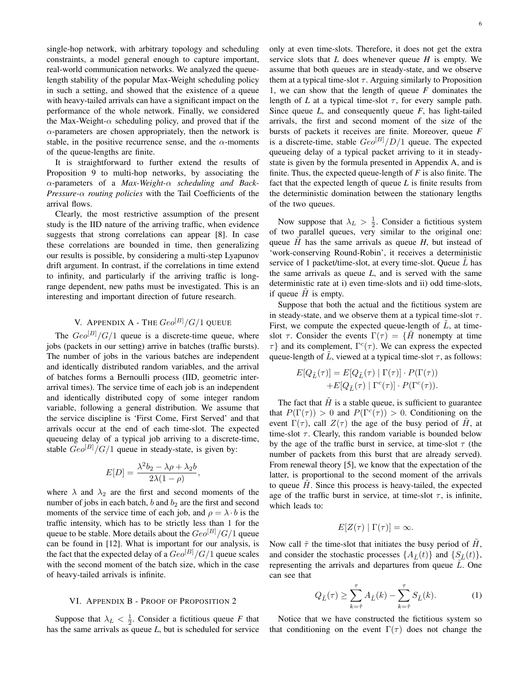single-hop network, with arbitrary topology and scheduling constraints, a model general enough to capture important, real-world communication networks. We analyzed the queuelength stability of the popular Max-Weight scheduling policy in such a setting, and showed that the existence of a queue with heavy-tailed arrivals can have a significant impact on the performance of the whole network. Finally, we considered the Max-Weight- $\alpha$  scheduling policy, and proved that if the  $\alpha$ -parameters are chosen appropriately, then the network is stable, in the positive recurrence sense, and the  $\alpha$ -moments of the queue-lengths are finite.

It is straightforward to further extend the results of Proposition 9 to multi-hop networks, by associating the α-parameters of a *Max-Weight-*α *scheduling and Back-Pressure-*α *routing policies* with the Tail Coefficients of the arrival flows.

Clearly, the most restrictive assumption of the present study is the IID nature of the arriving traffic, when evidence suggests that strong correlations can appear [8]. In case these correlations are bounded in time, then generalizing our results is possible, by considering a multi-step Lyapunov drift argument. In contrast, if the correlations in time extend to infinity, and particularly if the arriving traffic is longrange dependent, new paths must be investigated. This is an interesting and important direction of future research.

# V. APPENDIX A - THE  $Geo^{[B]}/G/1$  QUEUE

The  $Geo^{[B]}/G/1$  queue is a discrete-time queue, where jobs (packets in our setting) arrive in batches (traffic bursts). The number of jobs in the various batches are independent and identically distributed random variables, and the arrival of batches forms a Bernoulli process (IID, geometric interarrival times). The service time of each job is an independent and identically distributed copy of some integer random variable, following a general distribution. We assume that the service discipline is 'First Come, First Served' and that arrivals occur at the end of each time-slot. The expected queueing delay of a typical job arriving to a discrete-time, stable  $Geo^{[B]}/G/1$  queue in steady-state, is given by:

$$
E[D] = \frac{\lambda^2 b_2 - \lambda \rho + \lambda_2 b}{2\lambda (1 - \rho)},
$$

where  $\lambda$  and  $\lambda_2$  are the first and second moments of the number of jobs in each batch,  $b$  and  $b_2$  are the first and second moments of the service time of each job, and  $\rho = \lambda \cdot b$  is the traffic intensity, which has to be strictly less than 1 for the queue to be stable. More details about the  $Geo^{[B]}/G/1$  queue can be found in [12]. What is important for our analysis, is the fact that the expected delay of a  $Geo^{[B]}/G/1$  queue scales with the second moment of the batch size, which in the case of heavy-tailed arrivals is infinite.

#### VI. APPENDIX B - PROOF OF PROPOSITION 2

Suppose that  $\lambda_L < \frac{1}{2}$ . Consider a fictitious queue *F* that has the same arrivals as queue *L*, but is scheduled for service only at even time-slots. Therefore, it does not get the extra service slots that *L* does whenever queue *H* is empty. We assume that both queues are in steady-state, and we observe them at a typical time-slot  $\tau$ . Arguing similarly to Proposition 1, we can show that the length of queue *F* dominates the length of *L* at a typical time-slot  $\tau$ , for every sample path. Since queue *L*, and consequently queue *F*, has light-tailed arrivals, the first and second moment of the size of the bursts of packets it receives are finite. Moreover, queue *F* is a discrete-time, stable  $Geo^{[B]}/D/1$  queue. The expected queueing delay of a typical packet arriving to it in steadystate is given by the formula presented in Appendix A, and is finite. Thus, the expected queue-length of *F* is also finite. The fact that the expected length of queue *L* is finite results from the deterministic domination between the stationary lengths of the two queues.

Now suppose that  $\lambda_L > \frac{1}{2}$ . Consider a fictitious system of two parallel queues, very similar to the original one: queue  $\hat{H}$  has the same arrivals as queue  $H$ , but instead of 'work-conserving Round-Robin', it receives a deterministic service of 1 packet/time-slot, at every time-slot. Queue  $\tilde{L}$  has the same arrivals as queue *L*, and is served with the same deterministic rate at i) even time-slots and ii) odd time-slots, if queue  $H$  is empty.

Suppose that both the actual and the fictitious system are in steady-state, and we observe them at a typical time-slot  $\tau$ . First, we compute the expected queue-length of  $L$ , at timeslot  $\tau$ . Consider the events  $\Gamma(\tau) = \{H\}$  nonempty at time  $\tau$ } and its complement,  $\Gamma^c(\tau)$ . We can express the expected queue-length of  $\tilde{L}$ , viewed at a typical time-slot  $\tau$ , as follows:

$$
E[Q_{\tilde{L}}(\tau)] = E[Q_{\tilde{L}}(\tau) | \Gamma(\tau)] \cdot P(\Gamma(\tau))
$$

$$
+ E[Q_{\tilde{L}}(\tau) | \Gamma^c(\tau)] \cdot P(\Gamma^c(\tau)).
$$

The fact that  $\hat{H}$  is a stable queue, is sufficient to guarantee that  $P(\Gamma(\tau)) > 0$  and  $P(\Gamma^c(\tau)) > 0$ . Conditioning on the event  $\Gamma(\tau)$ , call  $Z(\tau)$  the age of the busy period of H, at time-slot  $\tau$ . Clearly, this random variable is bounded below by the age of the traffic burst in service, at time-slot  $\tau$  (the number of packets from this burst that are already served). From renewal theory [5], we know that the expectation of the latter, is proportional to the second moment of the arrivals to queue  $H$ . Since this process is heavy-tailed, the expected age of the traffic burst in service, at time-slot  $\tau$ , is infinite, which leads to:

$$
E[Z(\tau) | \Gamma(\tau)] = \infty.
$$

Now call  $\tilde{\tau}$  the time-slot that initiates the busy period of H, and consider the stochastic processes  $\{A_{\tilde{L}}(t)\}\$  and  $\{S_{\tilde{L}}(t)\}\$ , representing the arrivals and departures from queue  $\tilde{L}$ . One can see that

$$
Q_{\tilde{L}}(\tau) \ge \sum_{k=\tilde{\tau}}^{\tau} A_{\tilde{L}}(k) - \sum_{k=\tilde{\tau}}^{\tau} S_{\tilde{L}}(k).
$$
 (1)

Notice that we have constructed the fictitious system so that conditioning on the event  $\Gamma(\tau)$  does not change the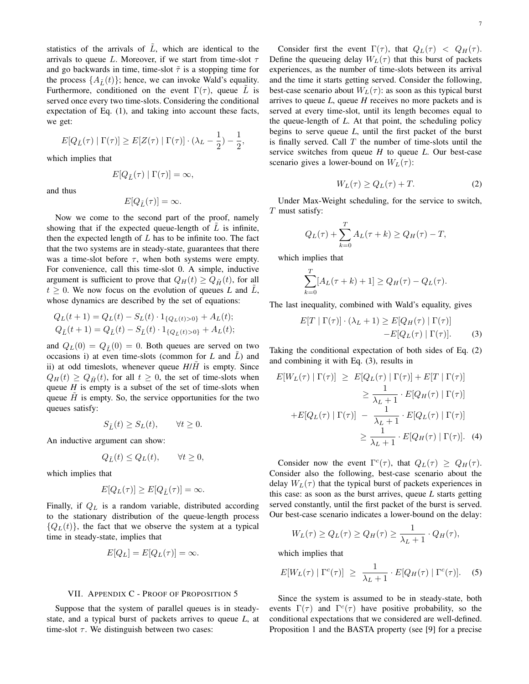statistics of the arrivals of  $\tilde{L}$ , which are identical to the arrivals to queue L. Moreover, if we start from time-slot  $\tau$ and go backwards in time, time-slot  $\tilde{\tau}$  is a stopping time for the process  $\{A_{\tilde{t}}(t)\}$ ; hence, we can invoke Wald's equality. Furthermore, conditioned on the event  $\Gamma(\tau)$ , queue L is served once every two time-slots. Considering the conditional expectation of Eq. (1), and taking into account these facts, we get:

$$
E[Q_{\tilde{L}}(\tau) | \Gamma(\tau)] \geq E[Z(\tau) | \Gamma(\tau)] \cdot (\lambda_L - \frac{1}{2}) - \frac{1}{2},
$$

which implies that

$$
E[Q_{\tilde{L}}(\tau) | \Gamma(\tau)] = \infty,
$$

and thus

$$
E[Q_{\tilde{L}}(\tau)]=\infty.
$$

Now we come to the second part of the proof, namely showing that if the expected queue-length of  $\tilde{L}$  is infinite, then the expected length of  $L$  has to be infinite too. The fact that the two systems are in steady-state, guarantees that there was a time-slot before  $\tau$ , when both systems were empty. For convenience, call this time-slot 0. A simple, inductive argument is sufficient to prove that  $Q_H(t) \geq Q_{\tilde{H}}(t)$ , for all  $t \geq 0$ . We now focus on the evolution of queues L and  $\tilde{L}$ , whose dynamics are described by the set of equations:

$$
Q_L(t+1) = Q_L(t) - S_L(t) \cdot 1_{\{Q_L(t) > 0\}} + A_L(t);
$$
  
\n
$$
Q_{\tilde{L}}(t+1) = Q_{\tilde{L}}(t) - S_{\tilde{L}}(t) \cdot 1_{\{Q_{\tilde{L}}(t) > 0\}} + A_L(t);
$$

and  $Q_L(0) = Q_{\tilde{L}}(0) = 0$ . Both queues are served on two occasions i) at even time-slots (common for  $L$  and  $L$ ) and ii) at odd timeslots, whenever queue  $H/H$  is empty. Since  $Q_H(t) \geq Q_{\tilde{H}}(t)$ , for all  $t \geq 0$ , the set of time-slots when queue  $H$  is empty is a subset of the set of time-slots when queue  $H$  is empty. So, the service opportunities for the two queues satisfy:

$$
S_{\tilde{L}}(t) \ge S_L(t), \qquad \forall t \ge 0.
$$

An inductive argument can show:

$$
Q_{\tilde{L}}(t) \le Q_L(t), \qquad \forall t \ge 0,
$$

which implies that

$$
E[Q_L(\tau)] \ge E[Q_{\tilde{L}}(\tau)] = \infty.
$$

Finally, if  $Q_L$  is a random variable, distributed according to the stationary distribution of the queue-length process  ${Q_L(t)}$ , the fact that we observe the system at a typical time in steady-state, implies that

$$
E[Q_L] = E[Q_L(\tau)] = \infty.
$$

#### VII. APPENDIX C - PROOF OF PROPOSITION 5

Suppose that the system of parallel queues is in steadystate, and a typical burst of packets arrives to queue *L*, at time-slot  $\tau$ . We distinguish between two cases:

Consider first the event  $\Gamma(\tau)$ , that  $Q_L(\tau) < Q_H(\tau)$ . Define the queueing delay  $W_L(\tau)$  that this burst of packets experiences, as the number of time-slots between its arrival and the time it starts getting served. Consider the following, best-case scenario about  $W_L(\tau)$ : as soon as this typical burst arrives to queue *L*, queue *H* receives no more packets and is served at every time-slot, until its length becomes equal to the queue-length of *L*. At that point, the scheduling policy begins to serve queue *L*, until the first packet of the burst is finally served. Call  $T$  the number of time-slots until the service switches from queue *H* to queue *L*. Our best-case scenario gives a lower-bound on  $W_L(\tau)$ :

$$
W_L(\tau) \ge Q_L(\tau) + T. \tag{2}
$$

Under Max-Weight scheduling, for the service to switch, T must satisfy:

$$
Q_L(\tau) + \sum_{k=0}^T A_L(\tau + k) \ge Q_H(\tau) - T,
$$

which implies that

$$
\sum_{k=0}^{T} [A_L(\tau + k) + 1] \ge Q_H(\tau) - Q_L(\tau).
$$

The last inequality, combined with Wald's equality, gives

$$
E[T | \Gamma(\tau)] \cdot (\lambda_L + 1) \ge E[Q_H(\tau) | \Gamma(\tau)]
$$
  
-
$$
-E[Q_L(\tau) | \Gamma(\tau)].
$$
 (3)

Taking the conditional expectation of both sides of Eq. (2) and combining it with Eq. (3), results in

$$
E[W_L(\tau) | \Gamma(\tau)] \ge E[Q_L(\tau) | \Gamma(\tau)] + E[T | \Gamma(\tau)]
$$
  
\n
$$
\ge \frac{1}{\lambda_L + 1} \cdot E[Q_H(\tau) | \Gamma(\tau)]
$$
  
\n
$$
+ E[Q_L(\tau) | \Gamma(\tau)] - \frac{1}{\lambda_L + 1} \cdot E[Q_L(\tau) | \Gamma(\tau)]
$$
  
\n
$$
\ge \frac{1}{\lambda_L + 1} \cdot E[Q_H(\tau) | \Gamma(\tau)]. \quad (4)
$$

Consider now the event  $\Gamma^c(\tau)$ , that  $Q_L(\tau) \geq Q_H(\tau)$ . Consider also the following, best-case scenario about the delay  $W_L(\tau)$  that the typical burst of packets experiences in this case: as soon as the burst arrives, queue *L* starts getting served constantly, until the first packet of the burst is served. Our best-case scenario indicates a lower-bound on the delay:

$$
W_L(\tau) \ge Q_L(\tau) \ge Q_H(\tau) \ge \frac{1}{\lambda_L + 1} \cdot Q_H(\tau),
$$

which implies that

$$
E[W_L(\tau) | \Gamma^c(\tau)] \ge \frac{1}{\lambda_L + 1} \cdot E[Q_H(\tau) | \Gamma^c(\tau)]. \quad (5)
$$

Since the system is assumed to be in steady-state, both events  $\Gamma(\tau)$  and  $\Gamma^c(\tau)$  have positive probability, so the conditional expectations that we considered are well-defined. Proposition 1 and the BASTA property (see [9] for a precise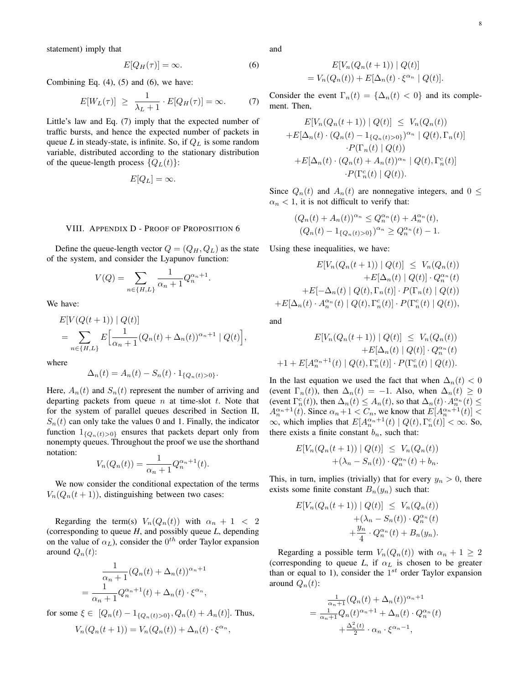statement) imply that

$$
E[Q_H(\tau)] = \infty. \tag{6}
$$

Combining Eq.  $(4)$ ,  $(5)$  and  $(6)$ , we have:

$$
E[W_L(\tau)] \ge \frac{1}{\lambda_L + 1} \cdot E[Q_H(\tau)] = \infty. \tag{7}
$$

Little's law and Eq. (7) imply that the expected number of traffic bursts, and hence the expected number of packets in queue  $L$  in steady-state, is infinite. So, if  $Q_L$  is some random variable, distributed according to the stationary distribution of the queue-length process  $\{Q_L(t)\}$ :

$$
E[Q_L] = \infty.
$$

#### VIII. APPENDIX D - PROOF OF PROPOSITION 6

Define the queue-length vector  $Q = (Q_H, Q_L)$  as the state of the system, and consider the Lyapunov function:

$$
V(Q)=\sum_{n\in\{H,L\}}\frac{1}{\alpha_n+1}Q_n^{\alpha_n+1}
$$

.

We have:

$$
E[V(Q(t+1)) | Q(t)]
$$
  
= 
$$
\sum_{n \in \{H, L\}} E\Big[\frac{1}{\alpha_n + 1} (Q_n(t) + \Delta_n(t))^{\alpha_n + 1} | Q(t) \Big],
$$

where

$$
\Delta_n(t) = A_n(t) - S_n(t) \cdot 1_{\{Q_n(t) > 0\}}.
$$

Here,  $A_n(t)$  and  $S_n(t)$  represent the number of arriving and departing packets from queue  $n$  at time-slot  $t$ . Note that for the system of parallel queues described in Section II,  $S_n(t)$  can only take the values 0 and 1. Finally, the indicator function  $1_{\{Q_n(t)>0\}}$  ensures that packets depart only from nonempty queues. Throughout the proof we use the shorthand notation:

$$
V_n(Q_n(t)) = \frac{1}{\alpha_n + 1} Q_n^{\alpha_n + 1}(t).
$$

We now consider the conditional expectation of the terms  $V_n(Q_n(t + 1))$ , distinguishing between two cases:

Regarding the term(s)  $V_n(Q_n(t))$  with  $\alpha_n + 1 < 2$ (corresponding to queue *H*, and possibly queue *L*, depending on the value of  $\alpha_L$ ), consider the  $0^{th}$  order Taylor expansion around  $Q_n(t)$ :

$$
\frac{1}{\alpha_n+1}(Q_n(t) + \Delta_n(t))^{\alpha_n+1}
$$

$$
= \frac{1}{\alpha_n+1}Q_n^{\alpha_n+1}(t) + \Delta_n(t) \cdot \xi^{\alpha_n},
$$

for some  $\xi \in [Q_n(t) - 1_{\{Q_n(t) > 0\}}, Q_n(t) + A_n(t)]$ . Thus,

$$
V_n(Q_n(t+1)) = V_n(Q_n(t)) + \Delta_n(t) \cdot \xi^{\alpha_n},
$$

and

$$
E[V_n(Q_n(t+1)) | Q(t)]
$$
  
=  $V_n(Q_n(t)) + E[\Delta_n(t) \cdot \xi^{\alpha_n} | Q(t)].$ 

Consider the event  $\Gamma_n(t) = {\Delta_n(t) < 0}$  and its complement. Then,

$$
E[V_n(Q_n(t+1)) | Q(t)] \leq V_n(Q_n(t))
$$
  
+
$$
E[\Delta_n(t) \cdot (Q_n(t) - 1_{\{Q_n(t) > 0\}})^{\alpha_n} | Q(t), \Gamma_n(t)]
$$
  
-
$$
P(\Gamma_n(t) | Q(t))
$$
  
+
$$
E[\Delta_n(t) \cdot (Q_n(t) + A_n(t))^{\alpha_n} | Q(t), \Gamma_n^c(t)]
$$
  
-
$$
P(\Gamma_n^c(t) | Q(t)).
$$

Since  $Q_n(t)$  and  $A_n(t)$  are nonnegative integers, and  $0 \leq$  $\alpha_n < 1$ , it is not difficult to verify that:

$$
(Q_n(t) + A_n(t))^{\alpha_n} \le Q_n^{\alpha_n}(t) + A_n^{\alpha_n}(t),
$$
  

$$
(Q_n(t) - 1_{\{Q_n(t) > 0\}})^{\alpha_n} \ge Q_n^{\alpha_n}(t) - 1.
$$

Using these inequalities, we have:

$$
E[V_n(Q_n(t+1)) | Q(t)] \leq V_n(Q_n(t))
$$
  
+
$$
E[\Delta_n(t) | Q(t)] \cdot Q_n^{\alpha_n}(t)
$$
  
+
$$
E[-\Delta_n(t) | Q(t), \Gamma_n(t)] \cdot P(\Gamma_n(t) | Q(t))
$$
  
+
$$
E[\Delta_n(t) \cdot A_n^{\alpha_n}(t) | Q(t), \Gamma_n^c(t)] \cdot P(\Gamma_n^c(t) | Q(t)),
$$

and

$$
E[V_n(Q_n(t+1)) | Q(t)] \leq V_n(Q_n(t)) + E[\Delta_n(t) | Q(t)] \cdot Q_n^{\alpha_n}(t) + 1 + E[A_n^{\alpha_n+1}(t) | Q(t), \Gamma_n^c(t)] \cdot P(\Gamma_n^c(t) | Q(t)).
$$

In the last equation we used the fact that when  $\Delta_n(t) < 0$ (event  $\Gamma_n(t)$ ), then  $\Delta_n(t) = -1$ . Also, when  $\Delta_n(t) \geq 0$ (event  $\Gamma_n^c(t)$ ), then  $\Delta_n(t) \leq A_n(t)$ , so that  $\Delta_n(t) \cdot A_n^{\alpha_n}(t) \leq$  $A_n^{\alpha_n+1}(t)$ . Since  $\alpha_n+1 < C_n$ , we know that  $E[A_n^{\alpha_n+1}(t)] <$  $\infty$ , which implies that  $E[A_n^{\alpha_n+1}(t) | Q(t), \Gamma_n^c(t)] < \infty$ . So, there exists a finite constant  $b_n$ , such that:

$$
E[V_n(Q_n(t+1)) | Q(t)] \leq V_n(Q_n(t))
$$
  
 
$$
+ (\lambda_n - S_n(t)) \cdot Q_n^{\alpha_n}(t) + b_n.
$$

This, in turn, implies (trivially) that for every  $y_n > 0$ , there exists some finite constant  $B_n(y_n)$  such that:

$$
E[V_n(Q_n(t+1)) | Q(t)] \leq V_n(Q_n(t))
$$
  
+  $(\lambda_n - S_n(t)) \cdot Q_n^{\alpha_n}(t)$   
+  $\frac{y_n}{4} \cdot Q_n^{\alpha_n}(t) + B_n(y_n).$ 

Regarding a possible term  $V_n(Q_n(t))$  with  $\alpha_n + 1 \geq 2$ (corresponding to queue *L*, if  $\alpha_L$  is chosen to be greater than or equal to 1), consider the  $1^{st}$  order Taylor expansion around  $Q_n(t)$ :

$$
= \frac{\frac{1}{\alpha_n+1}(Q_n(t) + \Delta_n(t))^{\alpha_n+1}}{\frac{1}{\alpha_n+1}Q_n(t)^{\alpha_n+1} + \Delta_n(t) \cdot Q_n^{\alpha_n}(t)}
$$

$$
+ \frac{\Delta_n^2(t)}{2} \cdot \alpha_n \cdot \xi^{\alpha_n-1},
$$